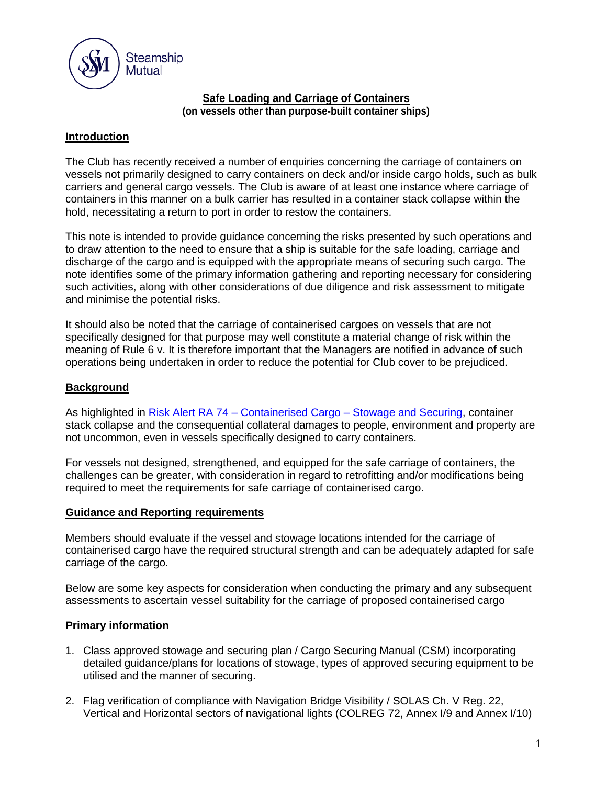

#### **Safe Loading and Carriage of Containers (on vessels other than purpose-built container ships)**

### **Introduction**

The Club has recently received a number of enquiries concerning the carriage of containers on vessels not primarily designed to carry containers on deck and/or inside cargo holds, such as bulk carriers and general cargo vessels. The Club is aware of at least one instance where carriage of containers in this manner on a bulk carrier has resulted in a container stack collapse within the hold, necessitating a return to port in order to restow the containers.

This note is intended to provide guidance concerning the risks presented by such operations and to draw attention to the need to ensure that a ship is suitable for the safe loading, carriage and discharge of the cargo and is equipped with the appropriate means of securing such cargo. The note identifies some of the primary information gathering and reporting necessary for considering such activities, along with other considerations of due diligence and risk assessment to mitigate and minimise the potential risks.

It should also be noted that the carriage of containerised cargoes on vessels that are not specifically designed for that purpose may well constitute a material change of risk within the meaning of Rule 6 v. It is therefore important that the Managers are notified in advance of such operations being undertaken in order to reduce the potential for Club cover to be prejudiced.

### **Background**

As highlighted in Risk Alert RA 74 – Containerised Cargo – [Stowage and Securing,](https://www.steamshipmutual.com/RA74ContainerisedCargoStowageandSecuring.pdf) container stack collapse and the consequential collateral damages to people, environment and property are not uncommon, even in vessels specifically designed to carry containers.

For vessels not designed, strengthened, and equipped for the safe carriage of containers, the challenges can be greater, with consideration in regard to retrofitting and/or modifications being required to meet the requirements for safe carriage of containerised cargo.

### **Guidance and Reporting requirements**

Members should evaluate if the vessel and stowage locations intended for the carriage of containerised cargo have the required structural strength and can be adequately adapted for safe carriage of the cargo.

Below are some key aspects for consideration when conducting the primary and any subsequent assessments to ascertain vessel suitability for the carriage of proposed containerised cargo

### **Primary information**

- 1. Class approved stowage and securing plan / Cargo Securing Manual (CSM) incorporating detailed guidance/plans for locations of stowage, types of approved securing equipment to be utilised and the manner of securing.
- 2. Flag verification of compliance with Navigation Bridge Visibility / SOLAS Ch. V Reg. 22, Vertical and Horizontal sectors of navigational lights (COLREG 72, Annex I/9 and Annex I/10)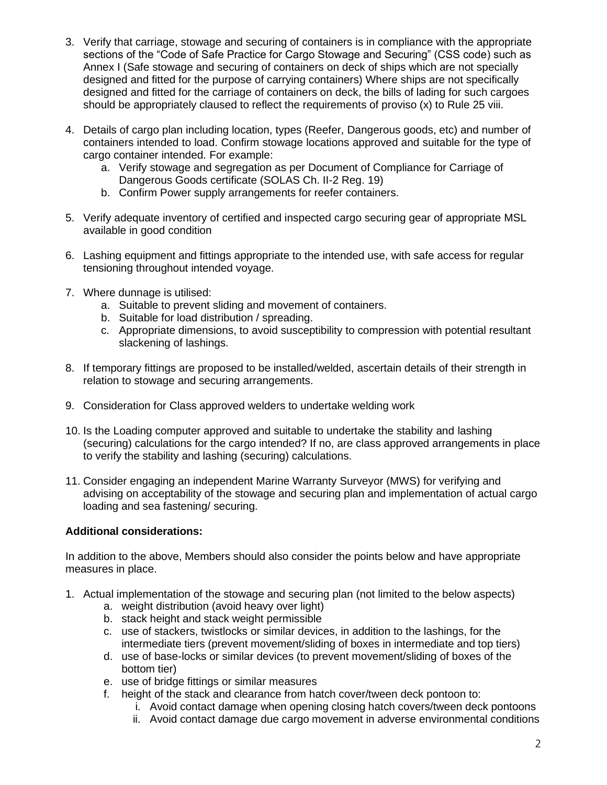- 3. Verify that carriage, stowage and securing of containers is in compliance with the appropriate sections of the "Code of Safe Practice for Cargo Stowage and Securing" (CSS code) such as Annex I (Safe stowage and securing of containers on deck of ships which are not specially designed and fitted for the purpose of carrying containers) Where ships are not specifically designed and fitted for the carriage of containers on deck, the bills of lading for such cargoes should be appropriately claused to reflect the requirements of proviso (x) to Rule 25 viii.
- 4. Details of cargo plan including location, types (Reefer, Dangerous goods, etc) and number of containers intended to load. Confirm stowage locations approved and suitable for the type of cargo container intended. For example:
	- a. Verify stowage and segregation as per Document of Compliance for Carriage of Dangerous Goods certificate (SOLAS Ch. II-2 Reg. 19)
	- b. Confirm Power supply arrangements for reefer containers.
- 5. Verify adequate inventory of certified and inspected cargo securing gear of appropriate MSL available in good condition
- 6. Lashing equipment and fittings appropriate to the intended use, with safe access for regular tensioning throughout intended voyage.
- 7. Where dunnage is utilised:
	- a. Suitable to prevent sliding and movement of containers.
	- b. Suitable for load distribution / spreading.
	- c. Appropriate dimensions, to avoid susceptibility to compression with potential resultant slackening of lashings.
- 8. If temporary fittings are proposed to be installed/welded, ascertain details of their strength in relation to stowage and securing arrangements.
- 9. Consideration for Class approved welders to undertake welding work
- 10. Is the Loading computer approved and suitable to undertake the stability and lashing (securing) calculations for the cargo intended? If no, are class approved arrangements in place to verify the stability and lashing (securing) calculations.
- 11. Consider engaging an independent Marine Warranty Surveyor (MWS) for verifying and advising on acceptability of the stowage and securing plan and implementation of actual cargo loading and sea fastening/ securing.

### **Additional considerations:**

In addition to the above, Members should also consider the points below and have appropriate measures in place.

- 1. Actual implementation of the stowage and securing plan (not limited to the below aspects)
	- a. weight distribution (avoid heavy over light)
	- b. stack height and stack weight permissible
	- c. use of stackers, twistlocks or similar devices, in addition to the lashings, for the intermediate tiers (prevent movement/sliding of boxes in intermediate and top tiers)
	- d. use of base-locks or similar devices (to prevent movement/sliding of boxes of the bottom tier)
	- e. use of bridge fittings or similar measures
	- f. height of the stack and clearance from hatch cover/tween deck pontoon to:
		- i. Avoid contact damage when opening closing hatch covers/tween deck pontoons
		- ii. Avoid contact damage due cargo movement in adverse environmental conditions